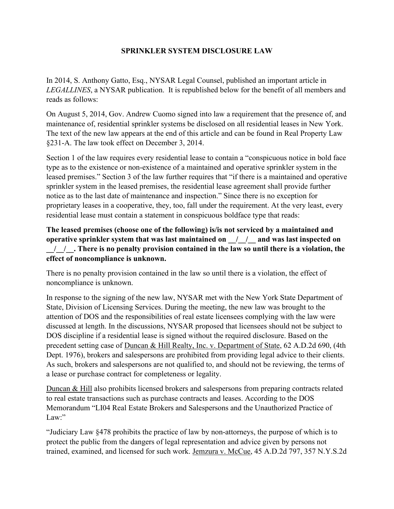## **SPRINKLER SYSTEM DISCLOSURE LAW**

In 2014, S. Anthony Gatto, Esq., NYSAR Legal Counsel, published an important article in *LEGALLINES*, a NYSAR publication. It is republished below for the benefit of all members and reads as follows:

On August 5, 2014, Gov. Andrew Cuomo signed into law a requirement that the presence of, and maintenance of, residential sprinkler systems be disclosed on all residential leases in New York. The text of the new law appears at the end of this article and can be found in Real Property Law §231-A. The law took effect on December 3, 2014.

Section 1 of the law requires every residential lease to contain a "conspicuous notice in bold face type as to the existence or non-existence of a maintained and operative sprinkler system in the leased premises." Section 3 of the law further requires that "if there is a maintained and operative sprinkler system in the leased premises, the residential lease agreement shall provide further notice as to the last date of maintenance and inspection." Since there is no exception for proprietary leases in a cooperative, they, too, fall under the requirement. At the very least, every residential lease must contain a statement in conspicuous boldface type that reads:

**The leased premises (choose one of the following) is/is not serviced by a maintained and operative sprinkler system that was last maintained on**   $\ell$  / and was last inspected on **\_\_/\_\_/\_\_. There is no penalty provision contained in the law so until there is a violation, the effect of noncompliance is unknown.**

There is no penalty provision contained in the law so until there is a violation, the effect of noncompliance is unknown.

In response to the signing of the new law, NYSAR met with the New York State Department of State, Division of Licensing Services. During the meeting, the new law was brought to the attention of DOS and the responsibilities of real estate licensees complying with the law were discussed at length. In the discussions, NYSAR proposed that licensees should not be subject to DOS discipline if a residential lease is signed without the required disclosure. Based on the precedent setting case of Duncan & Hill Realty, Inc. v. Department of State, 62 A.D.2d 690, (4th Dept. 1976), brokers and salespersons are prohibited from providing legal advice to their clients. As such, brokers and salespersons are not qualified to, and should not be reviewing, the terms of a lease or purchase contract for completeness or legality.

Duncan & Hill also prohibits licensed brokers and salespersons from preparing contracts related to real estate transactions such as purchase contracts and leases. According to the DOS Memorandum "LI04 Real Estate Brokers and Salespersons and the Unauthorized Practice of Law:"

"Judiciary Law §478 prohibits the practice of law by non-attorneys, the purpose of which is to protect the public from the dangers of legal representation and advice given by persons not trained, examined, and licensed for such work. Jemzura v. McCue, 45 A.D.2d 797, 357 N.Y.S.2d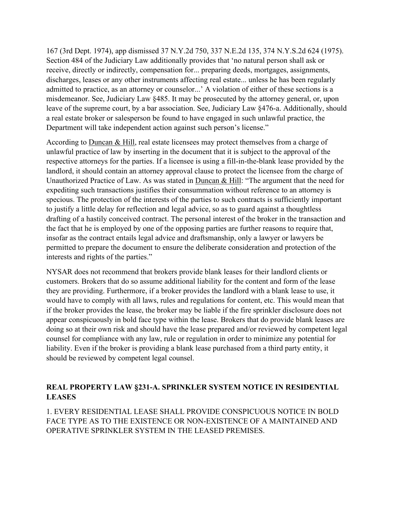167 (3rd Dept. 1974), app dismissed 37 N.Y.2d 750, 337 N.E.2d 135, 374 N.Y.S.2d 624 (1975). Section 484 of the Judiciary Law additionally provides that 'no natural person shall ask or receive, directly or indirectly, compensation for... preparing deeds, mortgages, assignments, discharges, leases or any other instruments affecting real estate... unless he has been regularly admitted to practice, as an attorney or counselor...' A violation of either of these sections is a misdemeanor. See, Judiciary Law §485. It may be prosecuted by the attorney general, or, upon leave of the supreme court, by a bar association. See, Judiciary Law §476-a. Additionally, should a real estate broker or salesperson be found to have engaged in such unlawful practice, the Department will take independent action against such person's license."

According to Duncan & Hill, real estate licensees may protect themselves from a charge of unlawful practice of law by inserting in the document that it is subject to the approval of the respective attorneys for the parties. If a licensee is using a fill-in-the-blank lease provided by the landlord, it should contain an attorney approval clause to protect the licensee from the charge of Unauthorized Practice of Law. As was stated in Duncan & Hill: "The argument that the need for expediting such transactions justifies their consummation without reference to an attorney is specious. The protection of the interests of the parties to such contracts is sufficiently important to justify a little delay for reflection and legal advice, so as to guard against a thoughtless drafting of a hastily conceived contract. The personal interest of the broker in the transaction and the fact that he is employed by one of the opposing parties are further reasons to require that, insofar as the contract entails legal advice and draftsmanship, only a lawyer or lawyers be permitted to prepare the document to ensure the deliberate consideration and protection of the interests and rights of the parties."

NYSAR does not recommend that brokers provide blank leases for their landlord clients or customers. Brokers that do so assume additional liability for the content and form of the lease they are providing. Furthermore, if a broker provides the landlord with a blank lease to use, it would have to comply with all laws, rules and regulations for content, etc. This would mean that if the broker provides the lease, the broker may be liable if the fire sprinkler disclosure does not appear conspicuously in bold face type within the lease. Brokers that do provide blank leases are doing so at their own risk and should have the lease prepared and/or reviewed by competent legal counsel for compliance with any law, rule or regulation in order to minimize any potential for liability. Even if the broker is providing a blank lease purchased from a third party entity, it should be reviewed by competent legal counsel.

## **REAL PROPERTY LAW §231-A. SPRINKLER SYSTEM NOTICE IN RESIDENTIAL LEASES**

1. EVERY RESIDENTIAL LEASE SHALL PROVIDE CONSPICUOUS NOTICE IN BOLD FACE TYPE AS TO THE EXISTENCE OR NON-EXISTENCE OF A MAINTAINED AND OPERATIVE SPRINKLER SYSTEM IN THE LEASED PREMISES.